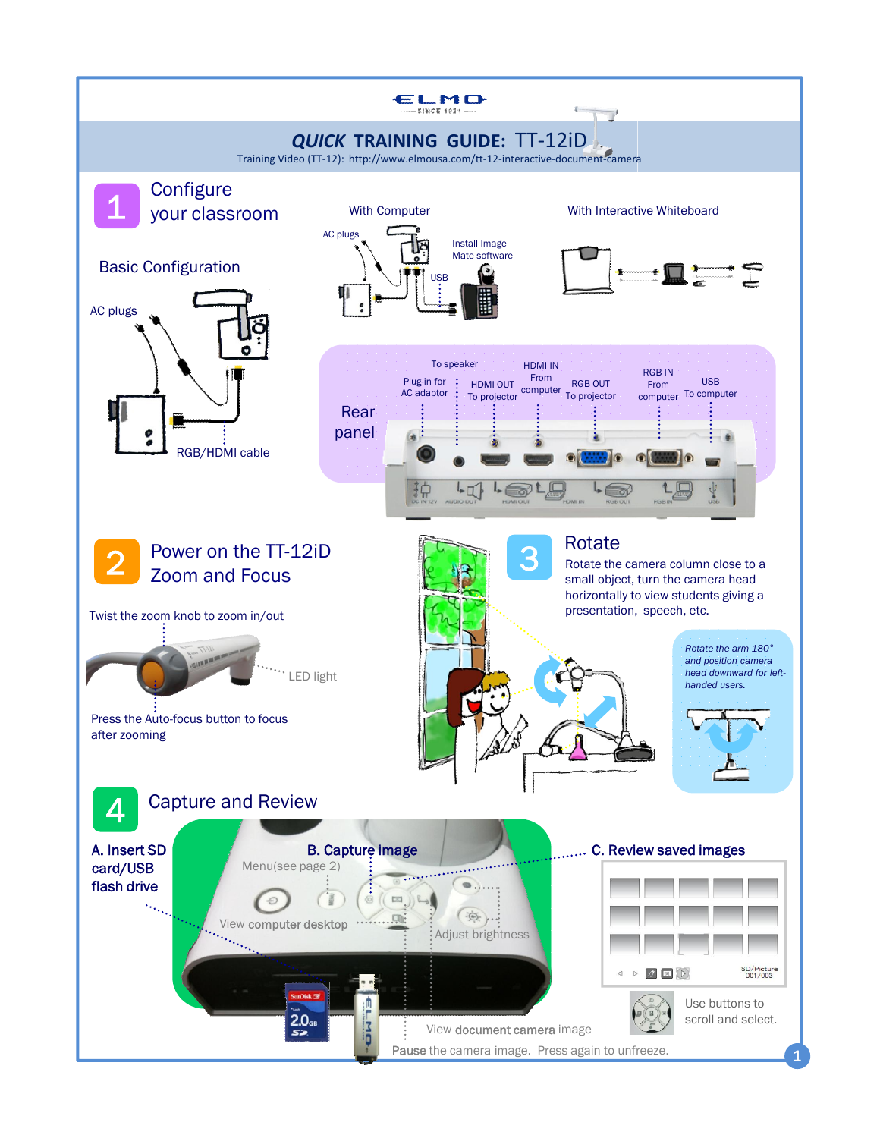